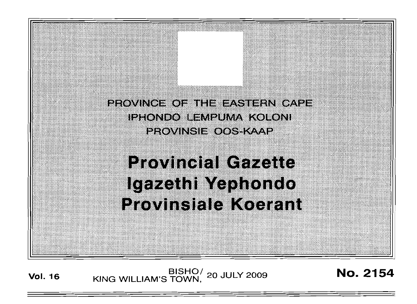PROVINCE OF THE EASTERN CAPE iphondo eempuma koloni PROVINSI WOOS KAAP

**Provincial Gazette** Igazethi Yephondo **Provinsiale Koerant** 

**Vol. 16 KING WILLIAM'S TOWN, 20 JULY 2009 No. 2154**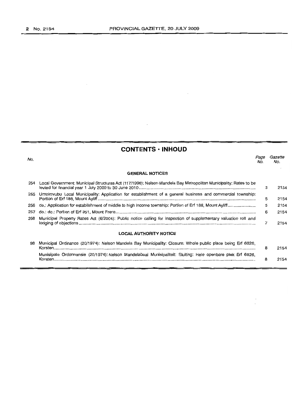$\mathcal{L}_{\mathcal{A}}$ 

# **CONTENTS • INHOUD**

| No. |                                                                                                                  | Page<br>No. | Gazette<br>No. |
|-----|------------------------------------------------------------------------------------------------------------------|-------------|----------------|
|     | <b>GENERAL NOTICES</b>                                                                                           |             |                |
| 254 | Local Government: Municipal Structures Act (117/1998): Nelson Mandela Bay Metropolitan Municipality: Rates to be | 3           | 2154           |
| 255 | Umzimvubu Local Municipality: Application for establishment of a general business and commercial township:       | 5           | 2154           |
| 256 |                                                                                                                  | 5           | 2154           |
| 257 |                                                                                                                  | 6           | 2154           |
| 258 | Municipal Property Rates Act (6/2004): Public notice calling for inspection of supplementary valuation roll and  | 7           | 2154           |
|     | LOCAL AUTHORITY NOTICE                                                                                           |             |                |
| 98  | Municipal Ordinance (20/1974); Nelson Mandela Bay Municipality: Closure: Whole public place being Erf 6826,      | 8           | 2154           |
|     | Munisipale Ordonnansie (20/1974): Nelson Mandelabaai Munisipaliteit: Sluiting: Hele openbare plek Erf 6826,      | 8           | 2154           |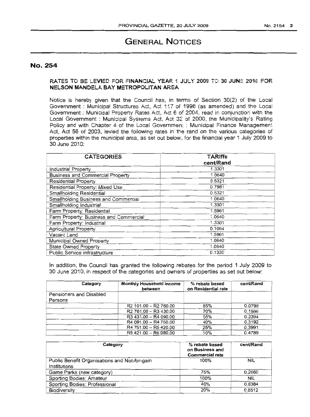# **GENERAL NOTICES**

# No. 254

# RATES TO BE LEVIED FOR FINANCIAL YEAR 1 JULY 2009 TO 30 JUNE 2010 FOR NELSON MANDELA BAY METROPOLITAN AREA

Notice is hereby given that the Council has, in terms of Section 30(2) of the Local Government: Municipal Structures Act, Act 117 of 1998 (as amended) and the Local Government: Municipal Property Rates Act, Act 6 of 2004, read in conjunction with the Local Government: Municipal Systems Act, Act 32 of 2000, the Municipality's Rating Policy and with Chapter 4 of the Local Government : Municipal Finance Management Act, Act 56 of 2003, levied the following rates in the rand on the various categories of properties within the municipal area, as set out below, for the financial year 1 July 2009 to 30 June 2010:

| <b>CATEGORIES</b>                       | <b>TARIffs</b><br>cent/Rand |  |
|-----------------------------------------|-----------------------------|--|
| Industrial Property                     | 1.3301                      |  |
| <b>Business and Commercial Property</b> | 1.0640                      |  |
| <b>Residential Property</b>             | 0.5321                      |  |
| Residential Property: Mixed Use         | 0.7981                      |  |
| <b>Smallholding Residential</b>         | 0.5321                      |  |
| Smallholding Business and Commercial    | 1.0640                      |  |
| Smallholding Industrial                 | 1.3301                      |  |
| Farm Property: Residential              | 1.5961                      |  |
| Farm Property: Business and Commercial  | 1.0640                      |  |
| Farm Property: Industrial               | 1.3301                      |  |
| <b>Agricultural Property</b>            | 0.1064                      |  |
| Vacant Land                             | 1.5961                      |  |
| Municipal Owned Property                | 1.0640                      |  |
| <b>State Owned Property</b>             | 1.0640                      |  |
| Public Service Infrastructure           | 0.1330                      |  |

In addition, the Council has granted the following rebates for the period 1 July 2009 to 30 June 2010, in respect of the categories and owners of properties as set out below:

| Category                | Monthly Household Income<br>between           | % rebate based<br>on Residential rate | cent/Rand |
|-------------------------|-----------------------------------------------|---------------------------------------|-----------|
| Pensioners and Disabled |                                               |                                       |           |
| Persons                 |                                               |                                       |           |
|                         | R <sub>2</sub> 101.00 - R <sub>2</sub> 760.00 | 85%                                   | 0.0798    |
|                         | R <sub>2</sub> 761.00 - R <sub>3</sub> 430.00 | 70%                                   | 0.1596    |
|                         | R3 431.00 - R4 090.00                         | 55%                                   | 0.2394    |
|                         | R4 091.00 - R4 750.00                         | 40%                                   | 0.3192    |
|                         | R4 751.00 - R5 420.00                         | 25%                                   | 0.3991    |
|                         | R5 421.00 - R6 080.00                         | 10%                                   | 0.4789    |

| Category                                      | % rebate based<br>on Business and<br><b>Commercial rate</b> | cent/Rand |
|-----------------------------------------------|-------------------------------------------------------------|-----------|
| Public Benefit Organisations and Not-for-gain | 100%                                                        | NIL       |
| Institutions                                  |                                                             |           |
| Game Parks (new category)                     | 75%                                                         | 0.2660    |
| Sporting Bodies: Amateur                      | 100%                                                        | NIL       |
| Sporting Bodies: Professional                 | 40%                                                         | 0.6384    |
| <b>Biodiversity</b>                           | 20%                                                         | 0.8512    |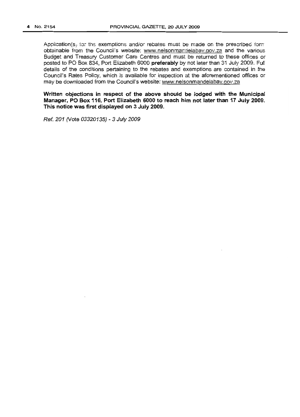Application(s) for the exemptions and/or rebates must be made on the prescribed form obtainable from the Council's website: www.nelsonmandelabay.gov.za and the various Budget and Treasury Customer Care Centres and must be returned to these offices or posted to PO Box 834, Port Elizabeth 6000 preferably by not later than 31 July 2009. Full details of the conditions pertaining to the rebates and exemptions are contained in the Council's Rates Policy, which is available for inspection at the aforementioned offices or may be downloaded from the Council's website: www.nelsonmandeiabay.gov.za

Written objections in respect of the above should be lodged with the Municipal Manager, PO Box 116, Port Elizabeth 6000 to reach him not later than 17 July 2009. This notice was first displayed on 3 July 2009.

Ref. 201 (Vote 03320135) - 3 July 2009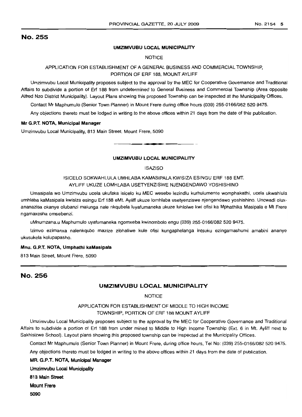# No. 255

### UMZIMVUBU LOCAL MUNICIPALITY

**NOTICE** 

## APPLICATION FOR ESTABLISHMENT OF A GENERAL BUSINESS AND COMMERCIAL TOWNSHIP, PORTION OF ERF 188, MOUNT AYLIFF

Umzimvubu Local Municipality proposes subject to the approval by the MEC for Cooperative Governance and Traditional Affairs to subdivide a portion of Erf 188 from undetermined to General Business and Commercial Township (Area opposite Alfred Nzo District Municipality). Layout Plans showing this proposed Township can be inspected at the Municipality Offices.

Contact Mr Maphumulo (Senior Town Planner) in Mount Frere during office hours (039) 255-0166/082 520 9475.

Any objections thereto must be lodged in writing to the above offices within 21 days from the date of this publication.

#### Mr G.P.T. NOTA, Municipal Manager

Umzimvubu Local Municipality, 813 Main Street, Mount Frere, 5090 .**- .**

#### UMZIMVUBU LOCAL MUNICIPALITY

#### ISAZISO

ISICELO SOKWAHLULA UMHLABA KAMASIPALA KWISIZA ESINGU ERF 188 EMT. AYLIFF UKUZE LOMHLABA USETYENZISWE NJENGENDAWO YOSHISHINO

Umasipala wo Umzimvubu ucela ukufaka isicelo ku MEC wesebe lezindlu kurhulumente womphakathi, ucela ukwahlula umhlaba kaMasipala kwisiza esingu Erf 188 eMt. Ayliff ukuze lomhlaba usetyenziswe njengendawo yoshishino. Uncwadi oluxananazisa okanye olubanzi malunga nale nkqubela luyafumaneka ukuze luhlolwe kwi ofisi ka Mphathika Masipala e Mt Frere ngamaxesha omsebenzi.

uMnumzana.u Maphumulo uyafumaneka ngomxeba kwinombolo engu (039) 255-0166/082 520 9475.

Izimvo ezimanxa nalenkqubo mazize zibhaliwe kule ofisi kungaphelanga intsuku ezingamashumi amabini ananye ukusukela kolupapasho.

#### Mnu. G.P.T. NOTA, Umphathi kaMasipala

813 Main Street, Mount Frere, 5090

# No. 256

## UMZIMVUBU LOCAL MUNICIPALITY

NOTICE

# APPLICATION FOR ESTABLISHMENT OF MIDDLE TO HIGH INCOME TOWNSHIP, PORTION OF ERF 188 MOUNT AYLIFF

Umzimvubu Local Municipality proposes subject to the approval by the MEC for Cooperative Governance and Traditional Affairs to subdivide a portion of Erf 188 from under mined to Middle to High Income Township (Ext. 6 in Mt. Ayliff next 10 Sakhisizwe School). Layout plans showing this proposed township can be inspected at the Municipality Offices.

Contact Mr Maphumulo (Senior Town Planner) in Mount Frere, during office hours, Tel No: (039) 255-0166/082 520 9475.

Any objections thereto must be lodged in writing to the above offices within 21 days from the date of publication.

## MR. G.P.T. NOTA, Municipal Manager

Umzimvubu Local Municipality 813 Main Street

Mount Frere

5090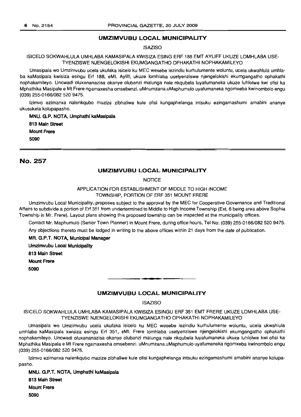### **UMZIMVUBU LOCAL MUNICIPALITY**

### **ISAZISO**

### ISICELO SOKWAHLULA UMHLABA KAMASIPALA KWISIZA ESING ERF 188 EMT AYLIFF UKUZE LOMHLABA USE-TYENZISWE NJENGELOKISHI EKUMGANGATHO OPHAKATHI NOPHAKAMILEYO

Umasipala wo Umzimvubu ucela ukufaka isicelo ku MEC wesebe lezindlu kurhulumente woluntu, ucela ukwahlula umhlaba kaMasipala kwisiza esingu Erf 188, eMt. Ayliff, ukuze lomhlaba usetyenziswe njengelokishi ekumgangatho ophakathi nophakamileyo. Uncwadi oluxananazisa okanye olubanzi malunga nale nkqubela luyafumaneka ukuze luhlolwe kwi ofisi ka Mphathika Masipale e Mt Frere ngamaxesha omsebenzi. uMnumzana.uMaphumulo uyafumaneka ngomxeba kwinombolo engu (039) 255-0166/082 520 9475.

Izimvo ezimanxa nalenkqubo mazize zibhaliwe kule ofisi kungaphelanga intsuku ezingamashumi amabini ananye ukusukela kolupapasho.

MNU. G.P. NOTA, Umphathi kaMasipaia 813 Main Street Mount Frere 5090

# No. 257

## **UMZIMVUBU LOCAL MUNICIPALITY**

#### **NOTICE**

APPLICATION FOR ESTABLISHMENT OF MIDDLE TO HIGH INCOME TOWNSHIP, PORTION OF ERF 351 MOUNT FRERE

Umzimvubu Local Municipality,.proposes subject to the approval by the MEC for Cooperative Governance and Traditional Affairs to subdivide a portion of Erf 351 from undertermined to Middle to High Income Township (Ext. 6 being area above Sophia Township in Mr. Frere). Layout plans showing this proposed township can be inspected at the municipality offices.

Contact Mr. Maphumulo (Senior Town Planner) in Mount Frere, during office hours, Tel No: (039) 255-0166/082 520 9475.

Any objections thereto must be lodged in writing to the above offices within 21 days from the date of publication.

MR. G.P.T. NOTA, Municipal Manager

Umzimvubu Local Municipality

813 Main Street

Mount Frere

5090

### **UMZIMVUBU LOCAL MUNICIPALITY**

**• •**

**ISAZISO** 

ISICELO SOKWAHLULA UMHLABA KAMASIPALA KWISIZA ESINGU ERF 351 EMT FRERE UKUZE LOMHLABA USE-TYENZISWE NJENGELOKISHI EKUMGANGATHO OPHAKATHI NOPHAKAMILEYO

Umasipala wo Umzimvubu ucela ukutaka isicelo ku MEC wesebe lezindlu kurhulumente woluntu, ucela ukwahlula umhlaba kaMasipala kwisiza esingu Erf 351, eMt. Frere lomhlaba usetyenziswe njengelokishi ekumgangatho ophakathi nophakamileyo. Uncwadi oluxananazisa okanye olubanzi malunga nale nkqubela luyafumaneka ukuze luhlolwe kwi ofisi ka Mphathika Masipala e Mt Frere ngamaxesha omsebenzi. uMnumzana.uMaphumulo uyafumaneka ngomxeba kwinombolo engu (039) 255-0166/082 520 9475.

Izimvo ezimanxa nalenkqubo mazize zibhaliwe kule ofisi kungaphelanga intsuku ezingamashumi amabini ananye kolupapasho.

MNU. G.P.T. NOTA, Umphathi kaMasipala 813 Main Street Mount Frere 5090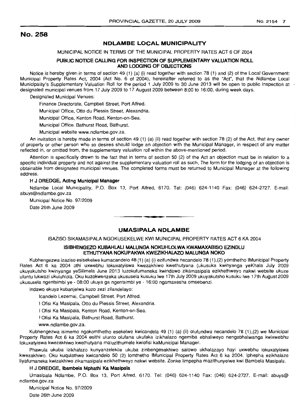# No. 258

### **NDLAMBE LOCAL MUNICIPALITY**

MUNICIPAL NOTICE IN TERMS OF THE MUNICIPAL PROPERTY RATES ACT 6 OF 2004

### **PUBLIC NOTICE CALLING FOR INSPECTIONOF SUPPLEMENTARY VALUATION ROLL AND LODGING OF OBJECTIONS**

Notice is hereby given in terms of section 49 (1) (a) (i) read together with section 78 (1) and (2) of the Local Government: Municipal Property Rates Act, 2004 (Act No.6 of 2004), hereinafter referred to as the "Act", that the Ndlambe Local Municipality's Supplementary Valuation Roll for the period 1 July 2009 to 30 June 2013 will be open to public inspection at  $\cdot$ designated municipal venues from 17 July 2009 to 17 August 2009 between 8:00 to 16:00, during week days.

Designated Municipal Venues:

Finance Directorate, Campbell Street, Port Alfred.

Municipal Office, Otto du Plessis Street, Alexandria.

Municipal Office, Kenton Road, Kenton-on-Sea.

Municipal Office, Bathurst Road, Bathurst.

Municipal website www.ndlambe.gov.za.

An invitation is hereby made in terms of section 49 (1) (a) (ii) read together with section 78 (2) of the Act, that any owner of property or other person who so desires should lodge an objection with the Municipal Manager, in respect of any matter reflected in, or omitted from, the supplementary valuation roll within the above-mentioned period.

Attention is specifically drawn to the fact that in terms of section 50 (2) of the Act an objection must be in relation to a specific individual property and not against the supplementary valuation roll as such, The form for the lodging of an objection is obtainable from designated municipal venues. The completed forms must be returned to Municipal Manager at the following address.

### H **J DREDGE, Acting Municipal Manager**

Ndlambe Local Municipality, P.O. Box 13, Port Alfred, 6170. Tel: (046) 624-1140 Fax: (046) 624-2727. E-mail: abuys@ndlambe.gov.za

Municipal Notice No. 97/2009 Date 26th June 2009

### **UMASIPALA NDLAMBE**

**• •**

ISAZISO SIKAMASIPALA NGOKUSEKELWE KWI MUNICIPAL PROPERTY RATES ACT 6 KA 2004

#### **ISIBHENGEZO KUBAHLALI MALUNGA NOKUHLOLWA KWAMAXABISO EZINDLU ETHUTYANA NOKUFAKWA KWEZIKHALAZO MALUNGA NOKO**

Kubhengezwa izaziso esisekelwe kumacandelo 48 (1) (a) (i) ezifundwa necandelo 78 (1 ),(2) yomthetho IMunicipal Property Rates Act 6 ka 2004 othi uxwebhu lokuxatyiswa kwezakhiwo kwethutyana (ukusuka kwinyanga yeKhala July 2009 ukuyakutsho kwinyanga yeSilimela June 2013 luzokufumaneka kwindawo zikamasipala ezikhethweyo nakwi website ukuze uluntu lukwazi ukuluhlola. Oku kuzokwenzeka ukususela kusuku Iwe 17th July 2009 ukuyakutsho kusuku Iwe 17th August 2009 ukususela ngentsimbi ye - 08:00 ukuya ga ngentsimbi ye - 16:00 ngamaxesha omsebenzi.

Indawo ekuya kubanjelwa kuzo zezi zilandelayo:

Icandelo Lezemai, Campbell Street, Port Alfred.

I Ofisi Ka Masipala, Otto du Plessis Street, Alexandria.

I Ofisi Ka Masipala, Kenton Road, Kenton-on-Sea.

I Ofisi Ka Masipala, Bathurst Road, Bathurst.

www.ndlambe.gov.za.

Kubhengezwa isimemo ngokomthetho esekelwe kwicandela 49 (1) (a) (ii) olufundwa necandelo 78 (1),(2) we Municipal Property Rates Act 6 ka 2004 esithi ulunto olufana ukufaka izikhalazo ngemiba ebhaliweyo nengabhalwanga kwixwebhu lokuxatyiswa kwezakhiwo kwethutyana maluzithumele kwiofisi kaMunicipal Manager.

Phawula ukuba izikhalazo kunyanzelekile ukuba zinbengesakhiwo salowo ukhalazayo hayi uxwebhu lokuxatyiswa kwezakhiwo. Oku kuqulathwe kwicandelo 50 (2) lomthetho IMunicipal Property Rates Act 6 ka 2004. Iphepha ezikhalazo liyafumaneka kwizakhiwo zikamasipala ezikhethweyo nakwi website. Zonke limpepha mazithunyelwe kwi Bambela Masipala.

#### H J **DREDGE, Ibambela Mphathi Ka Masipala**

Umasipala Ndlambe, P.O. Box 13, Port Alfred, 6170. Tel: (046) 624-1140 Fax: (046) 624-2727. E-mail: abuys@ ndlambe.gov.za

Municipal Notice No. 97/2009 Date 26th June 2009